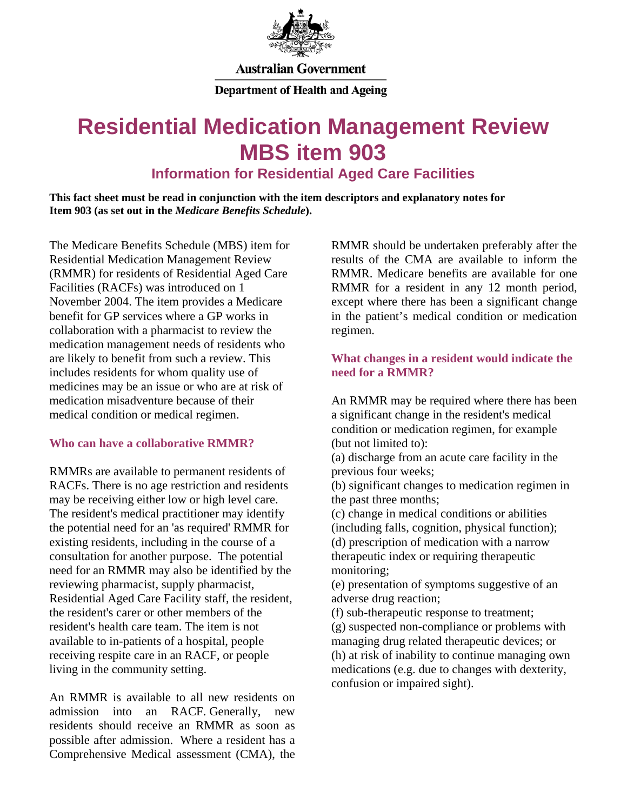

**Australian Government** 

**Department of Health and Ageing** 

# **Residential Medication Management Review MBS item 903**

**Information for Residential Aged Care Facilities** 

**This fact sheet must be read in conjunction with the item descriptors and explanatory notes for Item 903 (as set out in the** *Medicare Benefits Schedule***).**

The Medicare Benefits Schedule (MBS) item for Residential Medication Management Review (RMMR) for residents of Residential Aged Care Facilities (RACFs) was introduced on 1 November 2004. The item provides a Medicare benefit for GP services where a GP works in collaboration with a pharmacist to review the medication management needs of residents who are likely to benefit from such a review. This includes residents for whom quality use of medicines may be an issue or who are at risk of medication misadventure because of their medical condition or medical regimen.

# **Who can have a collaborative RMMR?**

RMMRs are available to permanent residents of RACFs. There is no age restriction and residents may be receiving either low or high level care. The resident's medical practitioner may identify the potential need for an 'as required' RMMR for existing residents, including in the course of a consultation for another purpose. The potential need for an RMMR may also be identified by the reviewing pharmacist, supply pharmacist, Residential Aged Care Facility staff, the resident, the resident's carer or other members of the resident's health care team. The item is not available to in-patients of a hospital, people receiving respite care in an RACF, or people living in the community setting.

An RMMR is available to all new residents on admission into an RACF. Generally, new residents should receive an RMMR as soon as possible after admission. Where a resident has a Comprehensive Medical assessment (CMA), the

RMMR should be undertaken preferably after the results of the CMA are available to inform the RMMR. Medicare benefits are available for one RMMR for a resident in any 12 month period, except where there has been a significant change in the patient's medical condition or medication regimen.

# **What changes in a resident would indicate the need for a RMMR?**

An RMMR may be required where there has been a significant change in the resident's medical condition or medication regimen, for example (but not limited to):

(a) discharge from an acute care facility in the previous four weeks;

(b) significant changes to medication regimen in the past three months;

(c) change in medical conditions or abilities (including falls, cognition, physical function);

(d) prescription of medication with a narrow therapeutic index or requiring therapeutic monitoring;

(e) presentation of symptoms suggestive of an adverse drug reaction;

(f) sub-therapeutic response to treatment;

(g) suspected non-compliance or problems with managing drug related therapeutic devices; or (h) at risk of inability to continue managing own medications (e.g. due to changes with dexterity, confusion or impaired sight).